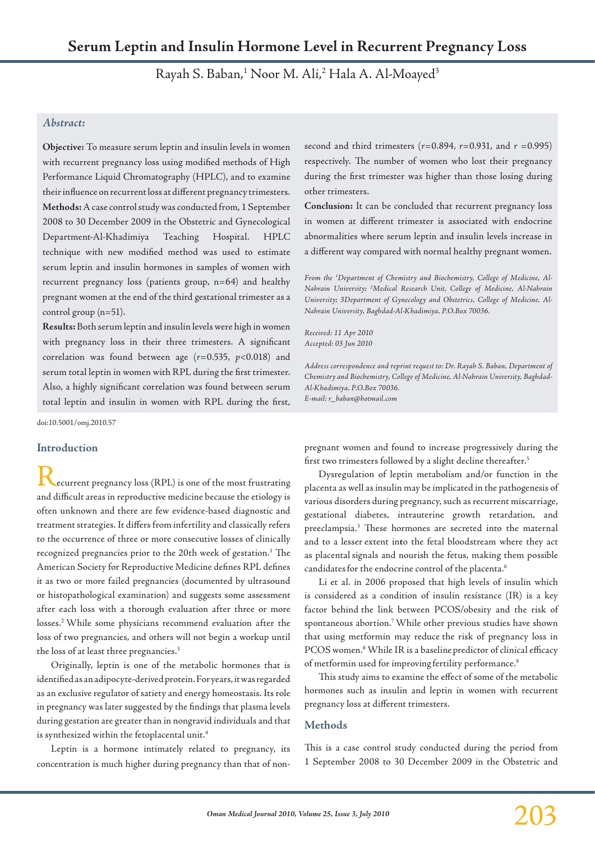Rayah S. Baban,<sup>1</sup> Noor M. Ali,<sup>2</sup> Hala A. Al-Moayed<sup>3</sup>

# *Abstract:*

**Objective:** To measure serum leptin and insulin levels in women with recurrent pregnancy loss using modified methods of High Performance Liquid Chromatography (HPLC), and to examine their influence on recurrent loss at different pregnancy trimesters. **Methods:** A case control study was conducted from, 1 September 2008 to 30 December 2009 in the Obstetric and Gynecological Department-Al-Khadimiya Teaching Hospital. HPLC technique with new modified method was used to estimate serum leptin and insulin hormones in samples of women with recurrent pregnancy loss (patients group, n=64) and healthy pregnant women at the end of the third gestational trimester as a control group (n=51).

**Results:** Both serum leptin and insulin levels were high in women with pregnancy loss in their three trimesters. A significant correlation was found between age (*r*=0.535, *p*<0.018) and serum total leptin in women with RPL during the first trimester. Also, a highly significant correlation was found between serum total leptin and insulin in women with RPL during the first,

doi:10.5001/omj.2010.57

## **Introduction**

ecurrent pregnancy loss (RPL) is one of the most frustrating and difficult areas in reproductive medicine because the etiology is often unknown and there are few evidence-based diagnostic and treatment strategies. It differs from infertility and classically refers to the occurrence of three or more consecutive losses of clinically recognized pregnancies prior to the 20th week of gestation.<sup>1</sup> The American Society for Reproductive Medicine defines RPL defines it as two or more failed pregnancies (documented by ultrasound or histopathological examination) and suggests some assessment after each loss with a thorough evaluation after three or more losses.2 While some physicians recommend evaluation after the loss of two pregnancies, and others will not begin a workup until the loss of at least three pregnancies.<sup>3</sup>

Originally, leptin is one of the metabolic hormones that is identified as an adipocyte-derived protein. For years, it was regarded as an exclusive regulator of satiety and energy homeostasis. Its role in pregnancy was later suggested by the findings that plasma levels during gestation are greater than in nongravid individuals and that is synthesized within the fetoplacental unit.<sup>4</sup>

Leptin is a hormone intimately related to pregnancy, its concentration is much higher during pregnancy than that of nonsecond and third trimesters (*r*=0.894, *r*=0.931, and *r* =0.995) respectively. The number of women who lost their pregnancy during the first trimester was higher than those losing during other trimesters.

**Conclusion:** It can be concluded that recurrent pregnancy loss in women at different trimester is associated with endocrine abnormalities where serum leptin and insulin levels increase in a different way compared with normal healthy pregnant women.

*From the 1 Department of Chemistry and Biochemistry, College of Medicine, Al-Nahrain University; 2 Medical Research Unit, College of Medicine, Al-Nahrain University; 3Department of Gynecology and Obstetrics, College of Medicine, Al-Nahrain University, Baghdad-Al-Khadimiya, P.O.Box 70036.*

*Received: 11 Apr 2010 Accepted: 03 Jun 2010*

*Address correspondence and reprint request to: Dr. Rayah S. Baban, Department of Chemistry and Biochemistry, College of Medicine, Al-Nahrain University, Baghdad-Al-Khadimiya, P.O.Box 70036. E-mail: r\_baban@hotmail.com*

pregnant women and found to increase progressively during the first two trimesters followed by a slight decline thereafter.<sup>5</sup>

Dysregulation of leptin metabolism and/or function in the placenta as well as insulin may be implicated in the pathogenesis of various disorders during pregnancy, such as recurrent miscarriage, gestational diabetes, intrauterine growth retardation, and preeclampsia.3 These hormones are secreted into the maternal and to a lesser extent into the fetal bloodstream where they act as placental signals and nourish the fetus, making them possible candidates for the endocrine control of the placenta.<sup>6</sup>

Li et al. in 2006 proposed that high levels of insulin which is considered as a condition of insulin resistance (IR) is a key factor behind the link between PCOS/obesity and the risk of spontaneous abortion.7 While other previous studies have shown that using metformin may reduce the risk of pregnancy loss in PCOS women.<sup>8</sup> While IR is a baseline predictor of clinical efficacy of metformin used for improving fertility performance.<sup>9</sup>

This study aims to examine the effect of some of the metabolic hormones such as insulin and leptin in women with recurrent pregnancy loss at different trimesters.

## **Methods**

This is a case control study conducted during the period from 1 September 2008 to 30 December 2009 in the Obstetric and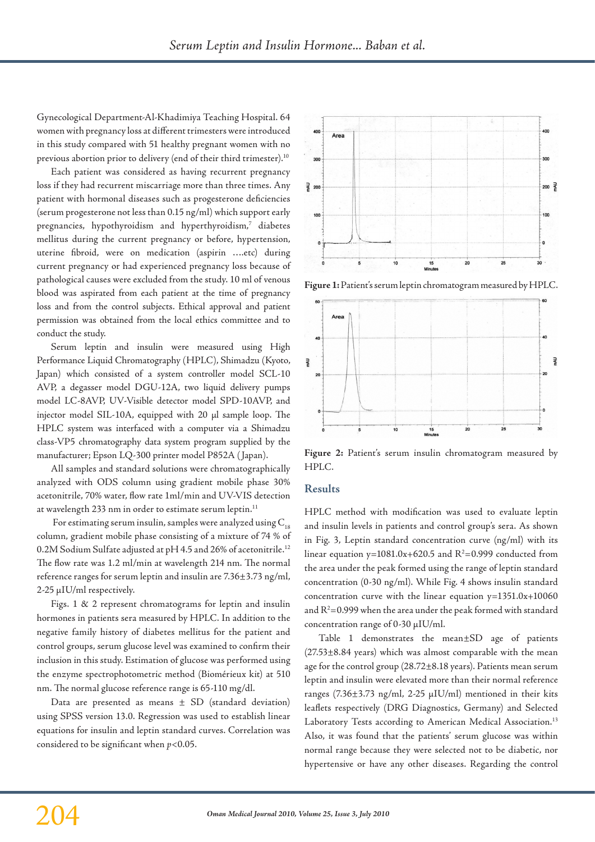Gynecological Department-Al-Khadimiya Teaching Hospital. 64 women with pregnancy loss at different trimesters were introduced in this study compared with 51 healthy pregnant women with no previous abortion prior to delivery (end of their third trimester).<sup>10</sup>

Each patient was considered as having recurrent pregnancy loss if they had recurrent miscarriage more than three times. Any patient with hormonal diseases such as progesterone deficiencies (serum progesterone not less than 0.15 ng/ml) which support early pregnancies, hypothyroidism and hyperthyroidism, $^7$  diabetes mellitus during the current pregnancy or before, hypertension, uterine fibroid, were on medication (aspirin ….etc) during current pregnancy or had experienced pregnancy loss because of pathological causes were excluded from the study. 10 ml of venous blood was aspirated from each patient at the time of pregnancy loss and from the control subjects. Ethical approval and patient permission was obtained from the local ethics committee and to conduct the study.

Serum leptin and insulin were measured using High Performance Liquid Chromatography (HPLC), Shimadzu (Kyoto, Japan) which consisted of a system controller model SCL-10 AVP, a degasser model DGU-12A, two liquid delivery pumps model LC-8AVP, UV-Visible detector model SPD-10AVP, and injector model SIL-10A, equipped with 20 µl sample loop. The HPLC system was interfaced with a computer via a Shimadzu class-VP5 chromatography data system program supplied by the manufacturer; Epson LQ-300 printer model P852A ( Japan).

All samples and standard solutions were chromatographically analyzed with ODS column using gradient mobile phase 30% acetonitrile, 70% water, flow rate 1ml/min and UV-VIS detection at wavelength 233 nm in order to estimate serum leptin.<sup>11</sup>

For estimating serum insulin, samples were analyzed using  $C_{18}$ column, gradient mobile phase consisting of a mixture of 74 % of 0.2M Sodium Sulfate adjusted at pH 4.5 and 26% of acetonitrile.12 The flow rate was 1.2 ml/min at wavelength 214 nm. The normal reference ranges for serum leptin and insulin are 7.36±3.73 ng/ml, 2-25 µIU/ml respectively.

Figs. 1 & 2 represent chromatograms for leptin and insulin hormones in patients sera measured by HPLC. In addition to the negative family history of diabetes mellitus for the patient and control groups, serum glucose level was examined to confirm their inclusion in this study. Estimation of glucose was performed using the enzyme spectrophotometric method (Biomérieux kit) at 510 nm. The normal glucose reference range is 65-110 mg/dl.

Data are presented as means  $\pm$  SD (standard deviation) using SPSS version 13.0. Regression was used to establish linear equations for insulin and leptin standard curves. Correlation was considered to be significant when *p*<0.05.



**Figure 1:** Patient's serum leptin chromatogram measured by HPLC.



Figure 2: Patient's serum insulin chromatogram measured by HPLC.

#### **Results**

HPLC method with modification was used to evaluate leptin and insulin levels in patients and control group's sera. As shown in Fig. 3, Leptin standard concentration curve (ng/ml) with its linear equation  $y=1081.0x+620.5$  and  $R^2=0.999$  conducted from the area under the peak formed using the range of leptin standard concentration (0-30 ng/ml). While Fig. 4 shows insulin standard concentration curve with the linear equation y=1351.0x+10060 and  $R^2$ =0.999 when the area under the peak formed with standard concentration range of 0-30 µIU/ml.

Table 1 demonstrates the mean±SD age of patients (27.53±8.84 years) which was almost comparable with the mean age for the control group (28.72±8.18 years). Patients mean serum leptin and insulin were elevated more than their normal reference ranges (7.36±3.73 ng/ml, 2-25 µIU/ml) mentioned in their kits leaflets respectively (DRG Diagnostics, Germany) and Selected Laboratory Tests according to American Medical Association.<sup>13</sup> Also, it was found that the patients' serum glucose was within normal range because they were selected not to be diabetic, nor hypertensive or have any other diseases. Regarding the control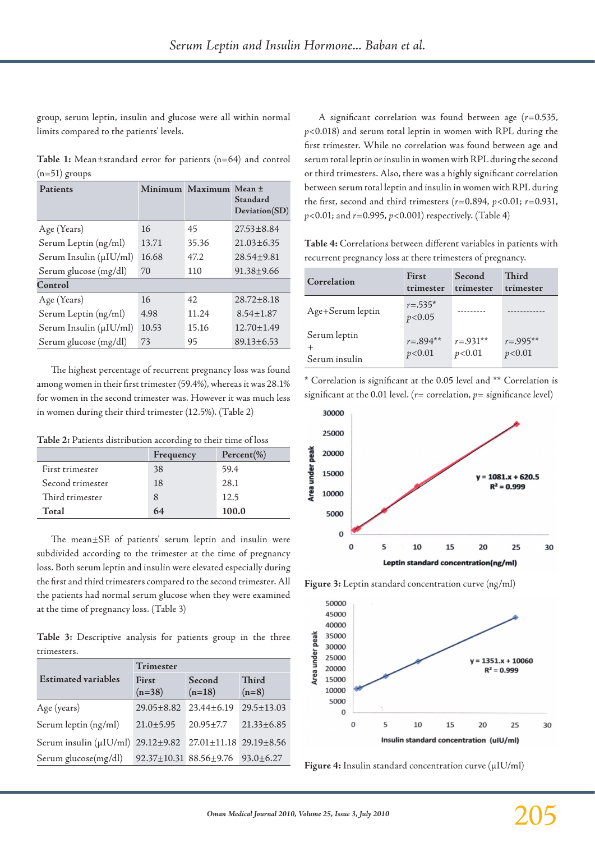group, serum leptin, insulin and glucose were all within normal limits compared to the patients' levels.

**Table 1:** Mean*±*standard error for patients (n=64) and control (n=51) groups

| Patients               |       | Minimum Maximum | $Mean +$<br>Standard<br>Deviation(SD) |  |
|------------------------|-------|-----------------|---------------------------------------|--|
| Age (Years)            | 16    | 45              | $27.53 \pm 8.84$                      |  |
| Serum Leptin (ng/ml)   | 13.71 | 35.36           | $21.03 \pm 6.35$                      |  |
| Serum Insulin (µIU/ml) | 16.68 | 47.2            | $28.54 \pm 9.81$                      |  |
| Serum glucose (mg/dl)  | 70    | 110             | $91.38 + 9.66$                        |  |
| Control                |       |                 |                                       |  |
| Age (Years)            | 16    | 42              | $28.72 \pm 8.18$                      |  |
| Serum Leptin (ng/ml)   | 4.98  | 11.24           | $8.54 \pm 1.87$                       |  |
| Serum Insulin (µIU/ml) | 10.53 | 15.16           | $12.70 \pm 1.49$                      |  |
| Serum glucose (mg/dl)  | 73    | 95              | $89.13 \pm 6.53$                      |  |

The highest percentage of recurrent pregnancy loss was found among women in their first trimester (59.4%), whereas it was 28.1% for women in the second trimester was. However it was much less in women during their third trimester (12.5%). (Table 2)

**Table 2:** Patients distribution according to their time of loss

|                  | Frequency | $Percent(\% )$ |
|------------------|-----------|----------------|
| First trimester  | 38        | 59.4           |
| Second trimester | 18        | 28.1           |
| Third trimester  | 8         | 12.5           |
| Total            | 64        | 100.0          |

The mean±SE of patients' serum leptin and insulin were subdivided according to the trimester at the time of pregnancy loss. Both serum leptin and insulin were elevated especially during the first and third trimesters compared to the second trimester. All the patients had normal serum glucose when they were examined at the time of pregnancy loss. (Table 3)

**Table 3:** Descriptive analysis for patients group in the three trimesters.

|                                               | Trimester         |                                                    |                  |  |
|-----------------------------------------------|-------------------|----------------------------------------------------|------------------|--|
| <b>Estimated variables</b>                    | First<br>$(n=38)$ | Second<br>$(n=18)$                                 | Third<br>$(n=8)$ |  |
| Age (years)                                   | $29.05 \pm 8.82$  | $23.44 \pm 6.19$                                   | $29.5 \pm 13.03$ |  |
| Serum leptin (ng/ml)                          | $21.0 \pm 5.95$   | $20.95 \pm 7.7$                                    | $21.33 \pm 6.85$ |  |
| Serum insulin ( $\mu$ IU/ml) 29.12 $\pm$ 9.82 |                   | $27.01 \pm 11.18$ $29.19 \pm 8.56$                 |                  |  |
| Serum glucose(mg/dl)                          |                   | $92.37 \pm 10.31$ $88.56 \pm 9.76$ $93.0 \pm 6.27$ |                  |  |

A significant correlation was found between age (*r*=0.535, *p*<0.018) and serum total leptin in women with RPL during the first trimester. While no correlation was found between age and serum total leptin or insulin in women with RPL during the second or third trimesters. Also, there was a highly significant correlation between serum total leptin and insulin in women with RPL during the first, second and third trimesters (*r*=0.894, *p*<0.01; *r*=0.931, *p*<0.01; and *r*=0.995, *p*<0.001) respectively. (Table 4)

**Table 4:** Correlations between different variables in patients with recurrent pregnancy loss at there trimesters of pregnancy.

| Correlation      | First                   | Second      | Third        |
|------------------|-------------------------|-------------|--------------|
|                  | trimester               | trimester   | trimester    |
| Age+Serum leptin | $r = .535*$<br>p < 0.05 | ---------   |              |
| Serum leptin     | $r = .894**$            | $r = 931**$ | $r = .995**$ |
| Serum insulin    | p < 0.01                | p < 0.01    | p<0.01       |

\* Correlation is significant at the 0.05 level and \*\* Correlation is significant at the 0.01 level. ( $r=$  correlation,  $p=$  significance level)



**Figure 3:** Leptin standard concentration curve (ng/ml)



**Figure 4:** Insulin standard concentration curve (µIU/ml)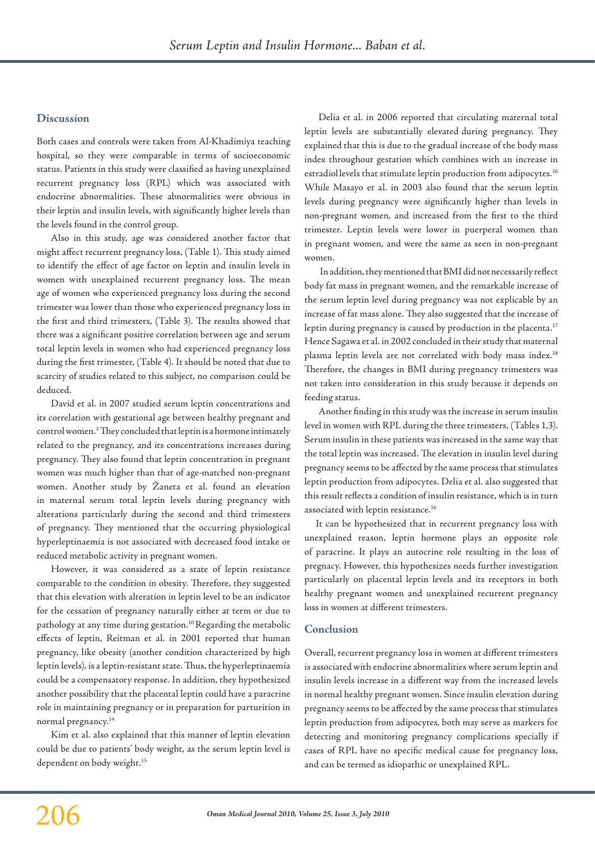#### **Discussion**

Both cases and controls were taken from Al-Khadimiya teaching hospital, so they were comparable in terms of socioeconomic status. Patients in this study were classified as having unexplained recurrent pregnancy loss (RPL) which was associated with endocrine abnormalities. These abnormalities were obvious in their leptin and insulin levels, with significantly higher levels than the levels found in the control group.

Also in this study, age was considered another factor that might affect recurrent pregnancy loss, (Table 1). This study aimed to identify the effect of age factor on leptin and insulin levels in women with unexplained recurrent pregnancy loss. The mean age of women who experienced pregnancy loss during the second trimester was lower than those who experienced pregnancy loss in the first and third trimesters, (Table 3). The results showed that there was a significant positive correlation between age and serum total leptin levels in women who had experienced pregnancy loss during the first trimester, (Table 4). It should be noted that due to scarcity of studies related to this subject, no comparison could be deduced.

David et al. in 2007 studied serum leptin concentrations and its correlation with gestational age between healthy pregnant and control women.<sup>3</sup> They concluded that leptin is a hormone intimately related to the pregnancy, and its concentrations increases during pregnancy. They also found that leptin concentration in pregnant women was much higher than that of age-matched non-pregnant women. Another study by Žaneta et al. found an elevation in maternal serum total leptin levels during pregnancy with alterations particularly during the second and third trimesters of pregnancy. They mentioned that the occurring physiological hyperleptinaemia is not associated with decreased food intake or reduced metabolic activity in pregnant women.

However, it was considered as a state of leptin resistance comparable to the condition in obesity. Therefore, they suggested that this elevation with alteration in leptin level to be an indicator for the cessation of pregnancy naturally either at term or due to pathology at any time during gestation.<sup>10</sup> Regarding the metabolic effects of leptin, Reitman et al. in 2001 reported that human pregnancy, like obesity (another condition characterized by high leptin levels), is a leptin-resistant state. Thus, the hyperleptinaemia could be a compensatory response. In addition, they hypothesized another possibility that the placental leptin could have a paracrine role in maintaining pregnancy or in preparation for parturition in normal pregnancy.14

Kim et al. also explained that this manner of leptin elevation could be due to patients' body weight, as the serum leptin level is dependent on body weight.<sup>15</sup>

Delia et al. in 2006 reported that circulating maternal total leptin levels are substantially elevated during pregnancy. They explained that this is due to the gradual increase of the body mass index throughout gestation which combines with an increase in estradiollevels that stimulate leptin production from adipocytes.<sup>16</sup> While Masayo et al. in 2003 also found that the serum leptin levels during pregnancy were significantly higher than levels in non-pregnant women, and increased from the first to the third trimester. Leptin levels were lower in puerperal women than in pregnant women, and were the same as seen in non-pregnant women.

 In addition, they mentioned that BMI did not necessarily reflect body fat mass in pregnant women, and the remarkable increase of the serum leptin level during pregnancy was not explicable by an increase of fat mass alone. They also suggested that the increase of leptin during pregnancy is caused by production in the placenta.<sup>17</sup> Hence Sagawa et al. in 2002 concluded in their study that maternal plasma leptin levels are not correlated with body mass index.<sup>18</sup> Therefore, the changes in BMI during pregnancy trimesters was not taken into consideration in this study because it depends on feeding status.

Another finding in this study was the increase in serum insulin level in women with RPL during the three trimesters, (Tables 1,3). Serum insulin in these patients was increased in the same way that the total leptin was increased. The elevation in insulin level during pregnancy seems to be affected by the same process that stimulates leptin production from adipocytes. Delia et al. also suggested that this result reflects a condition of insulin resistance, which is in turn associated with leptin resistance.16

It can be hypothesized that in recurrent pregnancy loss with unexplained reason, leptin hormone plays an opposite role of paracrine. It plays an autocrine role resulting in the loss of pregnacy. However, this hypothesizes needs further investigation particularly on placental leptin levels and its receptors in both healthy pregnant women and unexplained recurrent pregnancy loss in women at different trimesters.

#### **Conclusion**

Overall, recurrent pregnancy loss in women at different trimesters is associated with endocrine abnormalities where serum leptin and insulin levels increase in a different way from the increased levels in normal healthy pregnant women. Since insulin elevation during pregnancy seems to be affected by the same process that stimulates leptin production from adipocytes, both may serve as markers for detecting and monitoring pregnancy complications specially if cases of RPL have no specific medical cause for pregnancy loss, and can be termed as idiopathic or unexplained RPL.